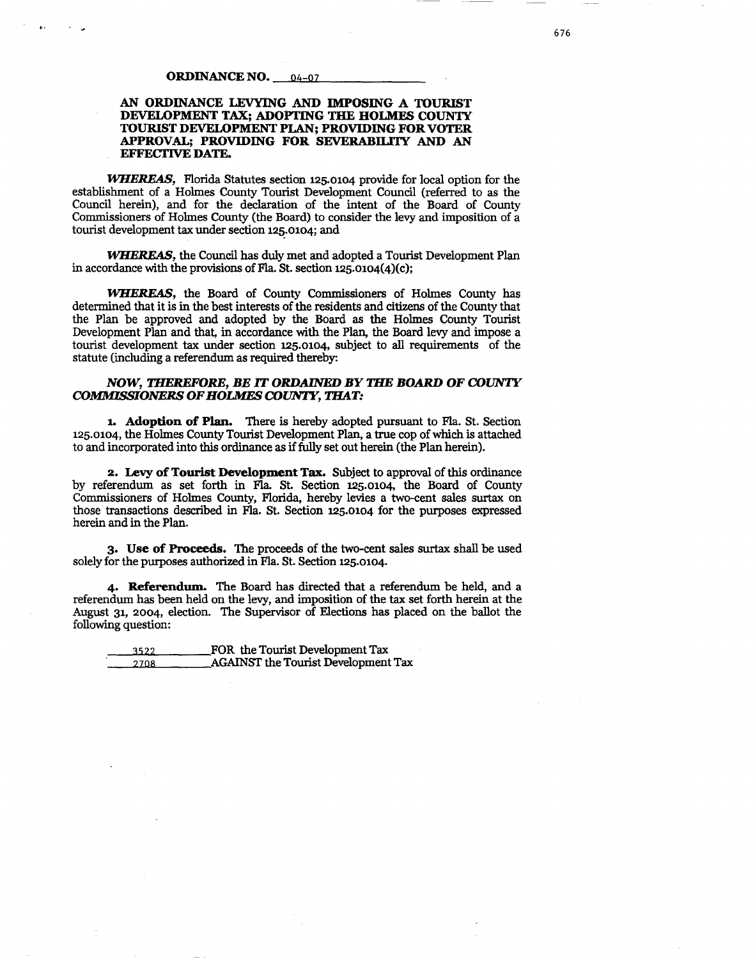#### **ORDINANCE NO. \_\_\_ 04-07**

#### **AN ORDINANCE LEVYING AND IMPOSING A TOURIST DEVELOPMENT TAX; ADOPTING THE HOLMES COUNTY TOURIST DEVELOPMENT PLAN; PROVIDING FOR VOTER APPROVAL; PROVIDING FOR SEVERABILITY AND AN EFFECTIVE DATE.**

*JVHEREAS,* Florida Statutes section 125.0104 provide for local option for the establishment of a Holmes County Tourist Development Council (referred to as the Council herein), and for the declaration of the intent of the Board of County Commissioners of Holmes County (the Board) to consider the levy and imposition of a tourist development tax under section 125.0104; and

*lVHEREAS,* the Council has duly met and adopted a Tourist Development Plan in accordance with the provisions of Fla. St. section 125.0104(4)(c);

*lVHEREAS,* the Board of County Commissioners of Holmes County has determined that it is in the best interests of the residents and citizens of the County that the Plan be approved and adopted by the Board as the Holmes County Tourist Development Plan and that, in accordance with the Plan, the Board levy and impose a tourist development tax under section 125.0104, subject to all requirements of the statute (including a referendum as required thereby:

#### *NOW, THEREFORE, BE* **IT** *ORDAINED BY THE BOARD OF COUNTY COMMISSIONERS OF HOLMES COUNTY, THAT:*

**1. Adoption of Plan.** There is hereby adopted pursuant to Fla. St. Section 125.0104, the Holmes County Tourist Development Plan, a true cop of which is attached to and incorporated into this ordinance as if fully set out herein (the Plan herein).

**2. Levy of Tourist Development Tax.** Subject to approval of this ordinance by referendum as set forth in Fla. St. Section 125.0104, the Board of County Commissioners of Holmes County, Florida, hereby levies a two-cent sales surtax on those transactions described in Fla. St. Section 125.0104 for the purposes expressed herein and in the Plan.

**3. Use of Proceeds.** The proceeds of the two-cent sales surtax shall be used solely for the purposes authorized in Fla. St. Section 125.0104.

**4. Referendum.** The Board has directed that a referendum be held, and a referendum has been held on the levy, and imposition of the tax set forth herein at the August 31, 2004, election. The Supervisor of Elections has placed on the ballot the following question:

1s22 FOR the Tourist Development Tax 2708 AGAINST the Tourist Development Tax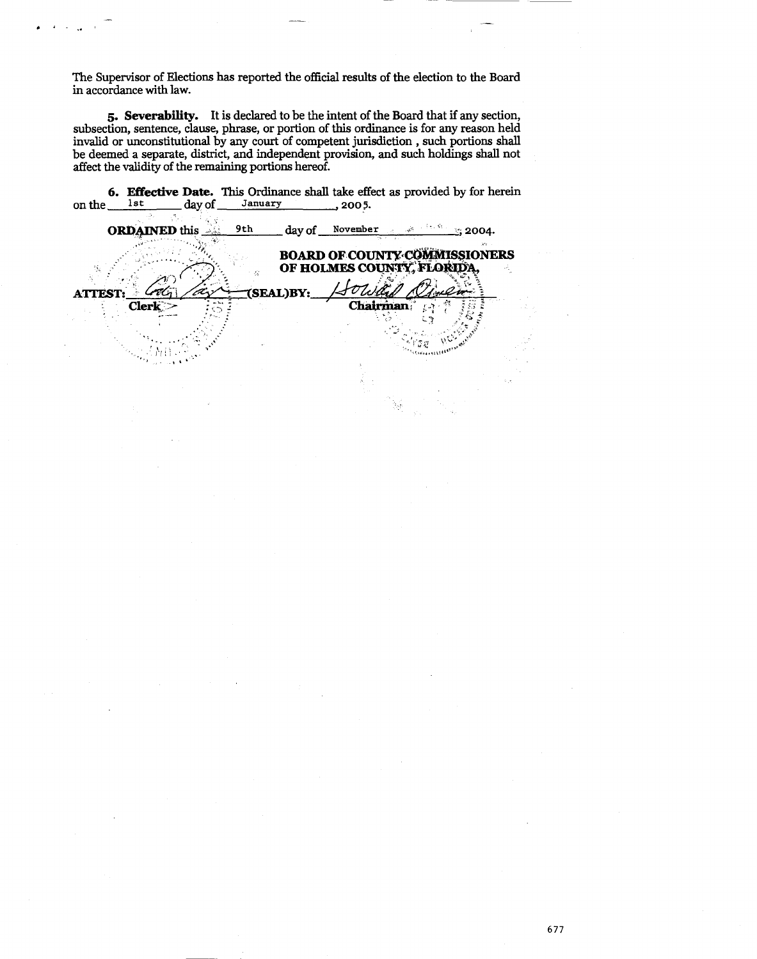The Supervisor of Elections has reported the official results of the election to the Board in accordance with law.

"' ~ - ..

**5. Severability.** It is declared to be the intent of the Board that if any section, subsection, sentence, clause, phrase, or portion of this ordinance is for any reason held invalid or unconstitutional by any court of competent jurisdiction , such portions shall be deemed a separate, district, and independent provision, and such holdings shall not affect the validity of the remaining portions hereof.

| on the        | lst                  | day of | January |           | .2005.          | 6. Effective Date. This Ordinance shall take effect as provided by for herein |              |  |
|---------------|----------------------|--------|---------|-----------|-----------------|-------------------------------------------------------------------------------|--------------|--|
|               | <b>ORDAINED</b> this |        | 9th     |           | day of November |                                                                               | $\sim$ 2004. |  |
|               |                      |        |         |           |                 | <b>BOARD OF COUNTY COMMISSIONERS</b><br>OF HOLMES COUNTY, FLORID              |              |  |
| <b>ATTEST</b> |                      |        |         | (SEAL)BY: |                 |                                                                               |              |  |
|               | <b>Clerk</b>         |        |         |           | Chairman        |                                                                               |              |  |
|               |                      |        |         |           |                 |                                                                               |              |  |

677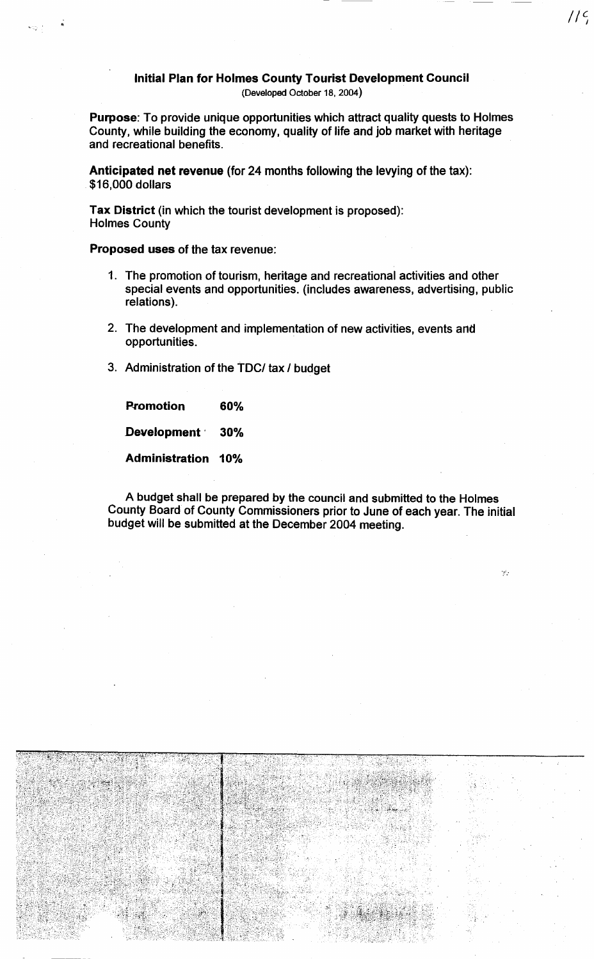# Initial Plan for Holmes County Tourist Development Council

 $1/c$ 

 $\mathcal{G}$  .

(Developed October 18, 2004)

Purpose: To provide unique opportunities which attract quality quests to Holmes County, while building the economy, quality of life and job market with heritage and recreational benefits.

Anticipated net revenue (for 24 months following the levying of the tax): \$16,000 dollars

Tax District (in which the tourist development is proposed): Holmes County

Proposed uses of the tax revenue:

- 1. The promotion of tourism, heritage and recreational activities and other special events and opportunities. (includes awareness, advertising, public relations).
- 2. The development and implementation of new activities, events and opportunities.
- 3. Administration of the TDC/ tax I budget

Promotion 60% Development 30% Administration 10%

A budget shall be prepared by the council and submitted to the Holmes County Board of County Commissioners prior to June of each year. The initial budget will be submitted at the December 2004 meeting.

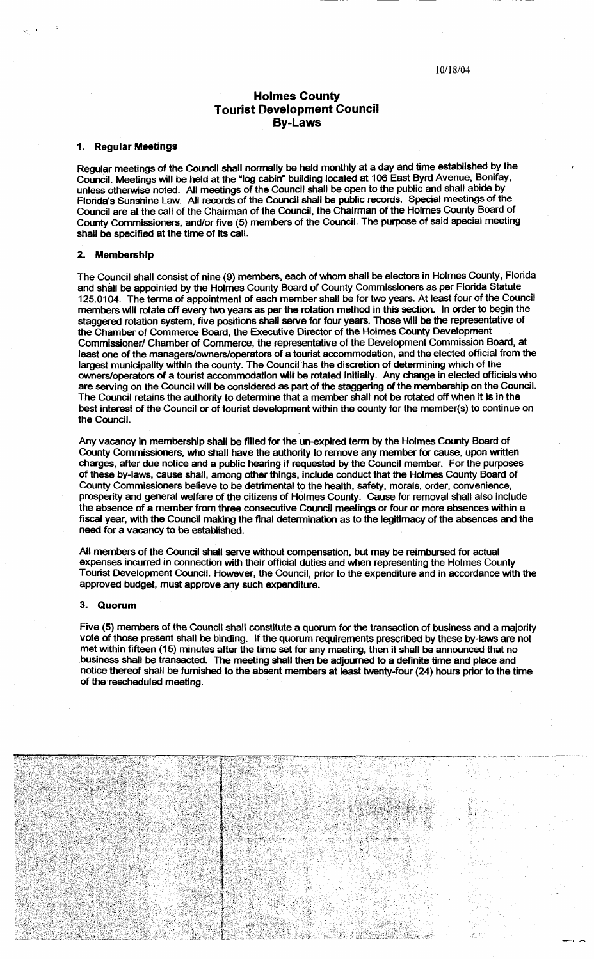# Holmes County Tourist Development Council By-Laws

## 1. Regular Meetings

Regular meetings of the Council shall normally be held monthly at a day and time established by the Council. Meetings will be held at the "log cabin" building located at 106 East Byrd Avenue, Bonifay, unless otherwise noted. All meetings of the Council shall be open to the public and shall abide by Florida's Sunshine Law. All records of the Council shall be public records. Special meetings of the Council are at the call of the Chairman of the Council, the Chairman of the Holmes County Board of County Commissioners, and/or five (5) members of the Council. The purpose of said special meeting shall be specified at the time of its call.

#### 2. Membership

The Council shall consist of nine (9) members, each of whom shall be electors in Holmes County, Florida and shall be appointed by the Holmes County Board of County Commissioners as per Florida Statute 125.0104. The terms of appointment of each member shall be for two years. At least four of the Council members will rotate off every two years as per the rotation method in this section. In order to begin the staggered rotation system, five positions shall serve for four years. Those will be the representative of the Chamber of Commerce Board, the Executive Director of the Holmes County Development Commissioner/ Chamber of Commerce, the representative of the Development Commission Board, at least one of the managers/owners/operators of a tourist accommodation, and the elected official from the largest municipality within the county. The Council'has the discretion of determining which of the owners/operators of a tourist accommodation will be rotated initially. Any change in elected officials who are serving on the Council will be considered as part of the staggering of the membership on the Council. The Council retains the authority to determine that a member shall not be rotated off when it is in the best interest of the Council or of tourist development within the county for the member(s) to continue on the Council.

Any vacancy in membership shall be filled for the un-expired term by the Holmes County Board of County Commissioners, who shall have the authority to remove any member for cause, upon written charges, after due notice and a public hearing if requested by the Council member. For the purposes of these by-laws, cause shall, among other things, include conduct that the Holmes County Board of County Commissioners believe to be detrimental to the health, safety, morals, order, convenience, prosperity and general welfare of the citizens of Holmes County. Cause for removal shall also include the absence of a member from three consecutive Council meetings or four or more absences within a fiscal year, with the Council making the final determination as to the legitimacy of the absences and the need for a vacancy to be established.

All members of the Council shall serve without compensation, but may be reimbursed for actual expenses incurred in connection with their official duties and when representing the Holmes County Tourist Development Council. However, the Council, prior to the expenditure and in accordance with the approved budget, must approve any such expenditure.

# 3. Quorum

Five (5) members of the Council shall constitute a quorum for the transaction of business and a majority vote of those present shall be binding. If the quorum requirements prescribed by these by-laws are not met within fifteen (15) minutes after the time set for any meeting, then it shall be announced that no business shall be transacted. The meeting shall then be adjourned to a definite time and place and notice thereof shall be furnished to the absent members at least twenty-four (24) hours prior to the time of the rescheduled meeting.

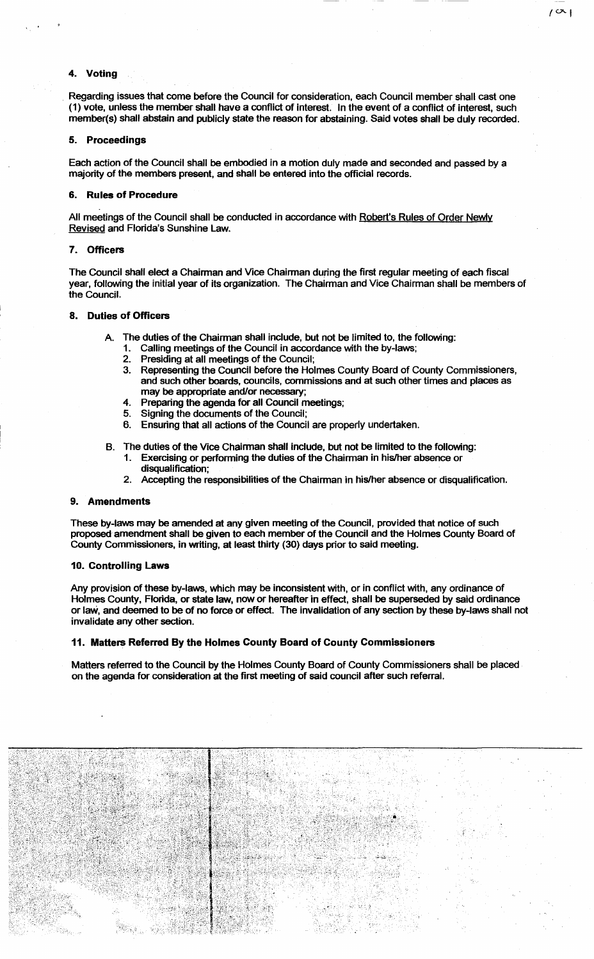# 4. Voting

 $\frac{1}{2}$ 

Regarding issues that come before the Council for consideration, each Council member shall cast one (1) vote, unless the member shall have a conflict of interest. In the event of a conflict of interest, such member(s) shall abstain and publicly state the reason for abstaining. Said votes shall be duly recorded.  $1^{\circ}$ 

#### 5. Proceedings

Each action of the Council shall be embodied in a motion duly made and seconded and passed by a majority of the members present, and shall be entered into the official records.

## 6. Rules of Procedure

All meetings of the Council shall be conducted in accordance with Robert's Rules of Order Newly Revised and Florida's Sunshine Law.

## 7. Officers

The Council shall elect a Chairman and Vice Chairman during the first regular meeting of each fiscal year, following the initial year of its organization. The Chairman and Vice Chairman shall be members of the Council.

# 8. Duties of Officers

- The duties of the Chairman shall include, but not be limited to, the following:
	- Calling meetings of the Council in accordance with the by-laws;
	- 2. Presiding at all meetings of the Council;
	- 3. Representing the Council before the Holmes County Board of County Commissioners, and such other boards, councils, commissions and at such other times and places as may be appropriate and/or necessary;
	- 4. Preparing the agenda for all Council meetings;<br>5. Signing the documents of the Council:
	- 5. Signing the documents of the Council;
	- 6. Ensuring that all actions of the Council are properly undertaken.
- B. The duties of the Vice Chairman shall include, but not be limited to the following:
	- Exercising or performing the duties of the Chairman in his/her absence or disqualification;
	- 2. Accepting the responsibilities of the Chairman in his/her absence or disqualification.

#### 9. Amendments

These by-laws may be amended at any given meeting of the Council, provided that notice of such proposed amendment shall be given to each member of the Council and the Holmes County Board of County Commissioners, in writing, at least thirty (30) days prior to said meeting.

#### 10. Controlling Laws

Any provision of these by-laws, which may be inconsistent with, or in conflict with, any ordinance of Holmes County, Florida, or state law, now or hereafter in effect, shall be superseded by said ordinance or law, and deemed to be of no force or effect. The invalidation of any section by these by-laws shall not invalidate any other section.

## 11. Matters Referred By the Holmes County Board of County Commissioners

Matters referred to the Council by the Holmes County Board of County Commissioners shall be placed on the agenda for consideration at the first meeting of said council after such referral.